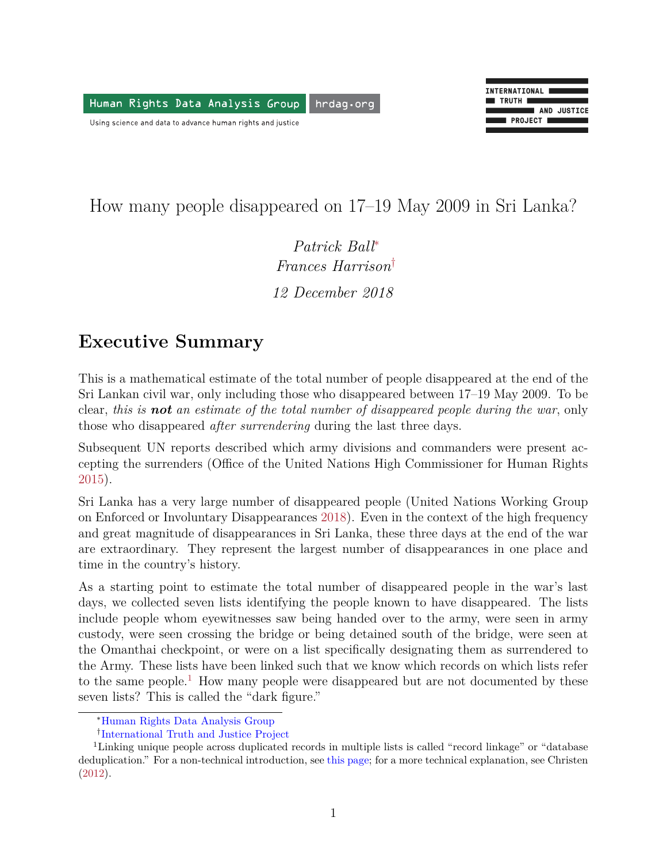<span id="page-0-3"></span>Human Rights Data Analysis Group hrdag.org

Using science and data to advance human rights and justice



How many people disappeared on 17–19 May 2009 in Sri Lanka?

*Patrick Bal[l](#page-0-0)*<sup>∗</sup> *Frances Harrison*[†](#page-0-1) *12 December 2018*

#### **Executive Summary**

This is a mathematical estimate of the total number of people disappeared at the end of the Sri Lankan civil war, only including those who disappeared between 17–19 May 2009. To be clear, *this is not an estimate of the total number of disappeared people during the war*, only those who disappeared *after surrendering* during the last three days.

Subsequent UN reports described which army divisions and commanders were present accepting the surrenders (Office of the United Nations High Commissioner for Human Rights [2015\)](#page-8-0).

Sri Lanka has a very large number of disappeared people (United Nations Working Group on Enforced or Involuntary Disappearances [2018\)](#page-8-1). Even in the context of the high frequency and great magnitude of disappearances in Sri Lanka, these three days at the end of the war are extraordinary. They represent the largest number of disappearances in one place and time in the country's history.

As a starting point to estimate the total number of disappeared people in the war's last days, we collected seven lists identifying the people known to have disappeared. The lists include people whom eyewitnesses saw being handed over to the army, were seen in army custody, were seen crossing the bridge or being detained south of the bridge, were seen at the Omanthai checkpoint, or were on a list specifically designating them as surrendered to the Army. These lists have been linked such that we know which records on which lists refer to the same people.<sup>[1](#page-0-2)</sup> How many people were disappeared but are not documented by these seven lists? This is called the "dark figure."

<span id="page-0-0"></span><sup>∗</sup>[Human Rights Data Analysis Group](https://hrdag.org)

<span id="page-0-2"></span><span id="page-0-1"></span><sup>†</sup> [International Truth and Justice Project](http://www.itjpsl.com/)

<sup>1</sup>Linking unique people across duplicated records in multiple lists is called "record linkage" or "database deduplication." For a non-technical introduction, see [this page;](https://hrdag.org/coreconcepts/) for a more technical explanation, see Christen [\(2012\)](#page-7-0).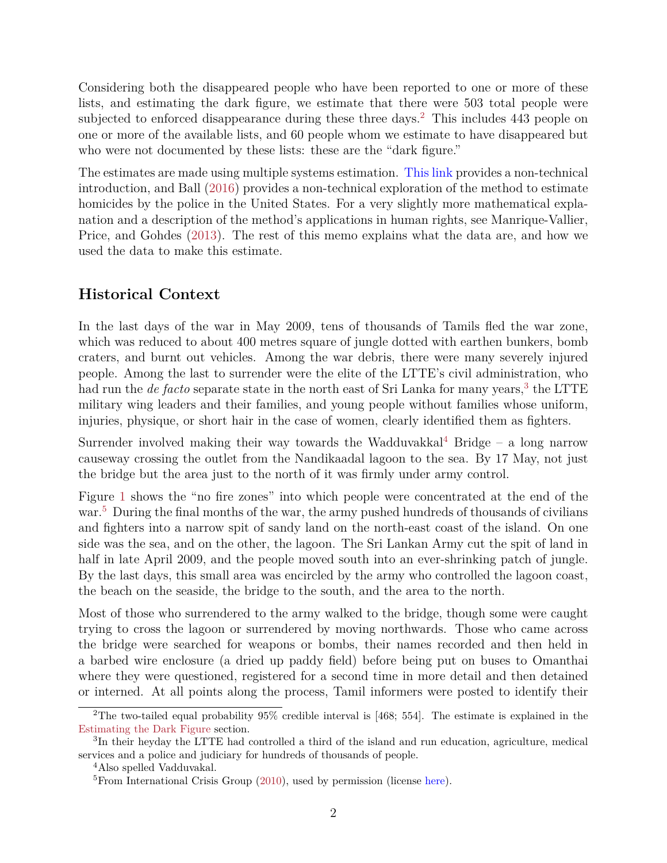Considering both the disappeared people who have been reported to one or more of these lists, and estimating the dark figure, we estimate that there were 503 total people were subjected to enforced disappearance during these three days.<sup>[2](#page-1-0)</sup> This includes 443 people on one or more of the available lists, and 60 people whom we estimate to have disappeared but who were not documented by these lists: these are the "dark figure."

The estimates are made using multiple systems estimation. [This link](https://hrdag.org/coreconcepts/) provides a non-technical introduction, and Ball [\(2016\)](#page-7-1) provides a non-technical exploration of the method to estimate homicides by the police in the United States. For a very slightly more mathematical explanation and a description of the method's applications in human rights, see Manrique-Vallier, Price, and Gohdes [\(2013\)](#page-7-2). The rest of this memo explains what the data are, and how we used the data to make this estimate.

#### **Historical Context**

In the last days of the war in May 2009, tens of thousands of Tamils fled the war zone, which was reduced to about 400 metres square of jungle dotted with earthen bunkers, bomb craters, and burnt out vehicles. Among the war debris, there were many severely injured people. Among the last to surrender were the elite of the LTTE's civil administration, who had run the *de facto* separate state in the north east of Sri Lanka for many years,<sup>[3](#page-1-1)</sup> the LTTE military wing leaders and their families, and young people without families whose uniform, injuries, physique, or short hair in the case of women, clearly identified them as fighters.

Surrender involved making their way towards the Wadduvakkal<sup>[4](#page-1-2)</sup> Bridge – a long narrow causeway crossing the outlet from the Nandikaadal lagoon to the sea. By 17 May, not just the bridge but the area just to the north of it was firmly under army control.

Figure [1](#page-2-0) shows the "no fire zones" into which people were concentrated at the end of the war.<sup>[5](#page-1-3)</sup> During the final months of the war, the army pushed hundreds of thousands of civilians and fighters into a narrow spit of sandy land on the north-east coast of the island. On one side was the sea, and on the other, the lagoon. The Sri Lankan Army cut the spit of land in half in late April 2009, and the people moved south into an ever-shrinking patch of jungle. By the last days, this small area was encircled by the army who controlled the lagoon coast, the beach on the seaside, the bridge to the south, and the area to the north.

Most of those who surrendered to the army walked to the bridge, though some were caught trying to cross the lagoon or surrendered by moving northwards. Those who came across the bridge were searched for weapons or bombs, their names recorded and then held in a barbed wire enclosure (a dried up paddy field) before being put on buses to Omanthai where they were questioned, registered for a second time in more detail and then detained or interned. At all points along the process, Tamil informers were posted to identify their

<span id="page-1-0"></span><sup>&</sup>lt;sup>2</sup>The two-tailed equal probability  $95\%$  credible interval is [468; 554]. The estimate is explained in the [Estimating the Dark Figure](#page-0-3) section.

<span id="page-1-1"></span><sup>3</sup> In their heyday the LTTE had controlled a third of the island and run education, agriculture, medical services and a police and judiciary for hundreds of thousands of people.

<span id="page-1-2"></span><sup>4</sup>Also spelled Vadduvakal.

<span id="page-1-3"></span> ${}^{5}$ From International Crisis Group [\(2010\)](#page-7-3), used by permission (license [here\)](https://www.crisisgroup.org/legal/copyright-and-trademark-notice).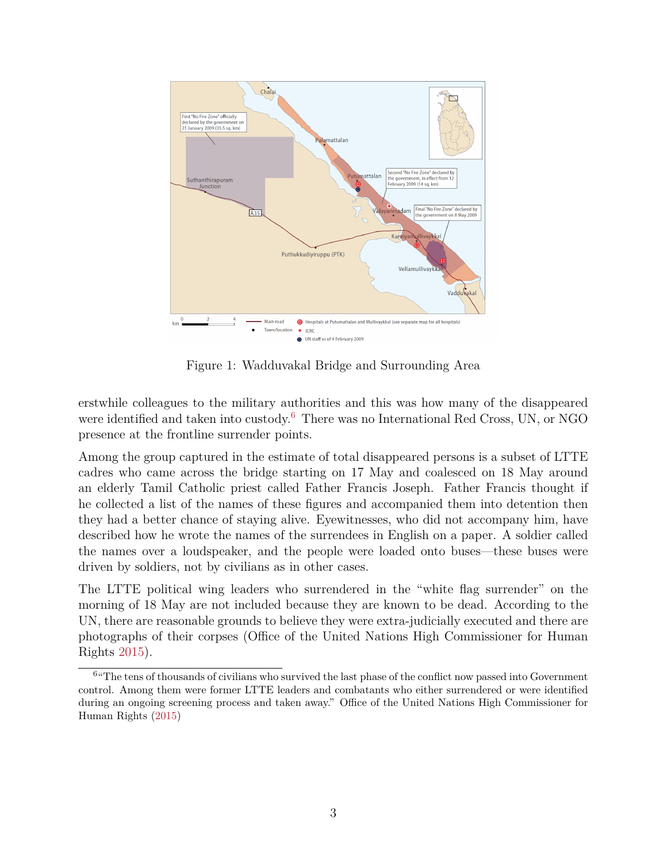

<span id="page-2-0"></span>Figure 1: Wadduvakal Bridge and Surrounding Area

erstwhile colleagues to the military authorities and this was how many of the disappeared were identified and taken into custody.<sup>[6](#page-2-1)</sup> There was no International Red Cross, UN, or NGO presence at the frontline surrender points.

Among the group captured in the estimate of total disappeared persons is a subset of LTTE cadres who came across the bridge starting on 17 May and coalesced on 18 May around an elderly Tamil Catholic priest called Father Francis Joseph. Father Francis thought if he collected a list of the names of these figures and accompanied them into detention then they had a better chance of staying alive. Eyewitnesses, who did not accompany him, have described how he wrote the names of the surrendees in English on a paper. A soldier called the names over a loudspeaker, and the people were loaded onto buses—these buses were driven by soldiers, not by civilians as in other cases.

The LTTE political wing leaders who surrendered in the "white flag surrender" on the morning of 18 May are not included because they are known to be dead. According to the UN, there are reasonable grounds to believe they were extra-judicially executed and there are photographs of their corpses (Office of the United Nations High Commissioner for Human Rights [2015\)](#page-8-0).

<span id="page-2-1"></span><sup>&</sup>lt;sup>6</sup> The tens of thousands of civilians who survived the last phase of the conflict now passed into Government control. Among them were former LTTE leaders and combatants who either surrendered or were identified during an ongoing screening process and taken away." Office of the United Nations High Commissioner for Human Rights [\(2015\)](#page-8-0)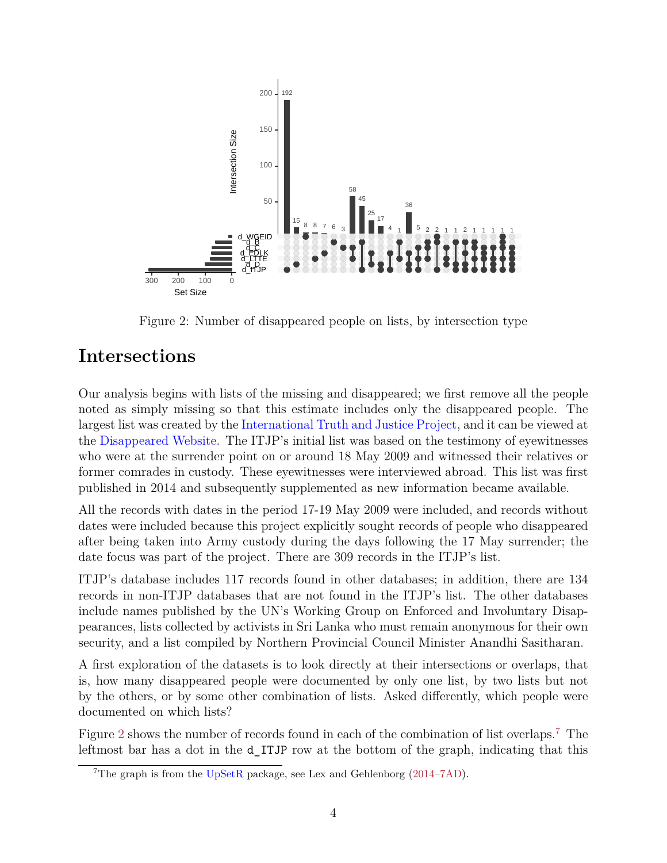

<span id="page-3-0"></span>Figure 2: Number of disappeared people on lists, by intersection type

## **Intersections**

Our analysis begins with lists of the missing and disappeared; we first remove all the people noted as simply missing so that this estimate includes only the disappeared people. The largest list was created by the [International Truth and Justice Project,](http://www.itjpsl.com/) and it can be viewed at the [Disappeared Website.](http://www.itjpsl.com/reports/disappear-site) The ITJP's initial list was based on the testimony of eyewitnesses who were at the surrender point on or around 18 May 2009 and witnessed their relatives or former comrades in custody. These eyewitnesses were interviewed abroad. This list was first published in 2014 and subsequently supplemented as new information became available.

All the records with dates in the period 17-19 May 2009 were included, and records without dates were included because this project explicitly sought records of people who disappeared after being taken into Army custody during the days following the 17 May surrender; the date focus was part of the project. There are 309 records in the ITJP's list.

ITJP's database includes 117 records found in other databases; in addition, there are 134 records in non-ITJP databases that are not found in the ITJP's list. The other databases include names published by the UN's Working Group on Enforced and Involuntary Disappearances, lists collected by activists in Sri Lanka who must remain anonymous for their own security, and a list compiled by Northern Provincial Council Minister Anandhi Sasitharan.

A first exploration of the datasets is to look directly at their intersections or overlaps, that is, how many disappeared people were documented by only one list, by two lists but not by the others, or by some other combination of lists. Asked differently, which people were documented on which lists?

Figure [2](#page-3-0) shows the number of records found in each of the combination of list overlaps.[7](#page-3-1) The leftmost bar has a dot in the d\_ITJP row at the bottom of the graph, indicating that this

<span id="page-3-1"></span><sup>&</sup>lt;sup>7</sup>The graph is from the  $UpSetR$  package, see Lex and Gehlenborg [\(2014–7AD\)](#page-7-4).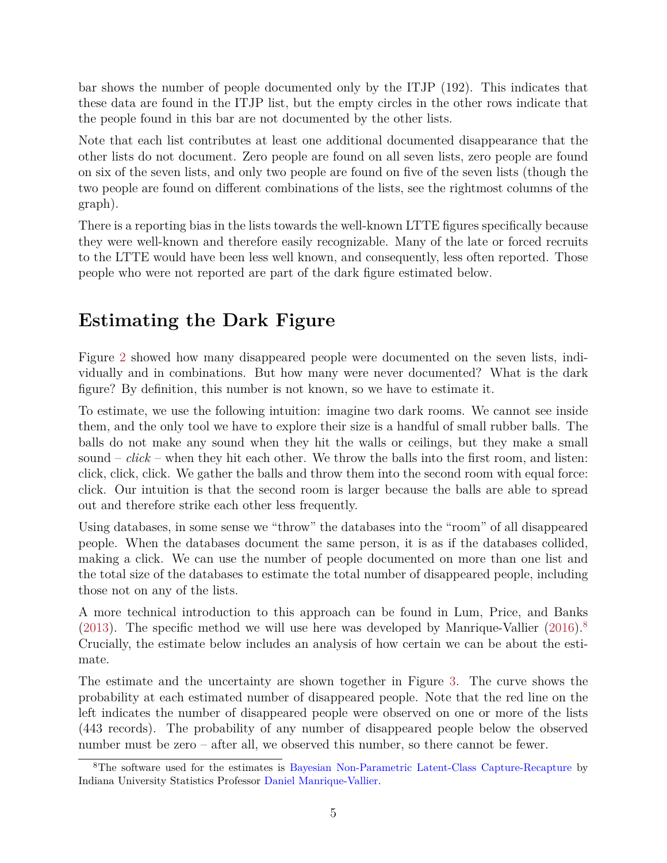bar shows the number of people documented only by the ITJP (192). This indicates that these data are found in the ITJP list, but the empty circles in the other rows indicate that the people found in this bar are not documented by the other lists.

Note that each list contributes at least one additional documented disappearance that the other lists do not document. Zero people are found on all seven lists, zero people are found on six of the seven lists, and only two people are found on five of the seven lists (though the two people are found on different combinations of the lists, see the rightmost columns of the graph).

There is a reporting bias in the lists towards the well-known LTTE figures specifically because they were well-known and therefore easily recognizable. Many of the late or forced recruits to the LTTE would have been less well known, and consequently, less often reported. Those people who were not reported are part of the dark figure estimated below.

# **Estimating the Dark Figure**

Figure [2](#page-3-0) showed how many disappeared people were documented on the seven lists, individually and in combinations. But how many were never documented? What is the dark figure? By definition, this number is not known, so we have to estimate it.

To estimate, we use the following intuition: imagine two dark rooms. We cannot see inside them, and the only tool we have to explore their size is a handful of small rubber balls. The balls do not make any sound when they hit the walls or ceilings, but they make a small sound – *click* – when they hit each other. We throw the balls into the first room, and listen: click, click, click. We gather the balls and throw them into the second room with equal force: click. Our intuition is that the second room is larger because the balls are able to spread out and therefore strike each other less frequently.

Using databases, in some sense we "throw" the databases into the "room" of all disappeared people. When the databases document the same person, it is as if the databases collided, making a click. We can use the number of people documented on more than one list and the total size of the databases to estimate the total number of disappeared people, including those not on any of the lists.

A more technical introduction to this approach can be found in Lum, Price, and Banks [\(2013\)](#page-7-5). The specific method we will use here was developed by Manrique-Vallier  $(2016)^8$  $(2016)^8$  $(2016)^8$ Crucially, the estimate below includes an analysis of how certain we can be about the estimate.

The estimate and the uncertainty are shown together in Figure [3.](#page-5-0) The curve shows the probability at each estimated number of disappeared people. Note that the red line on the left indicates the number of disappeared people were observed on one or more of the lists (443 records). The probability of any number of disappeared people below the observed number must be zero – after all, we observed this number, so there cannot be fewer.

<span id="page-4-0"></span><sup>8</sup>The software used for the estimates is [Bayesian Non-Parametric Latent-Class Capture-Recapture](https://cran.r-project.org/package=LCMCR) by Indiana University Statistics Professor [Daniel Manrique-Vallier.](http://mypage.iu.edu/~dmanriqu/index.html)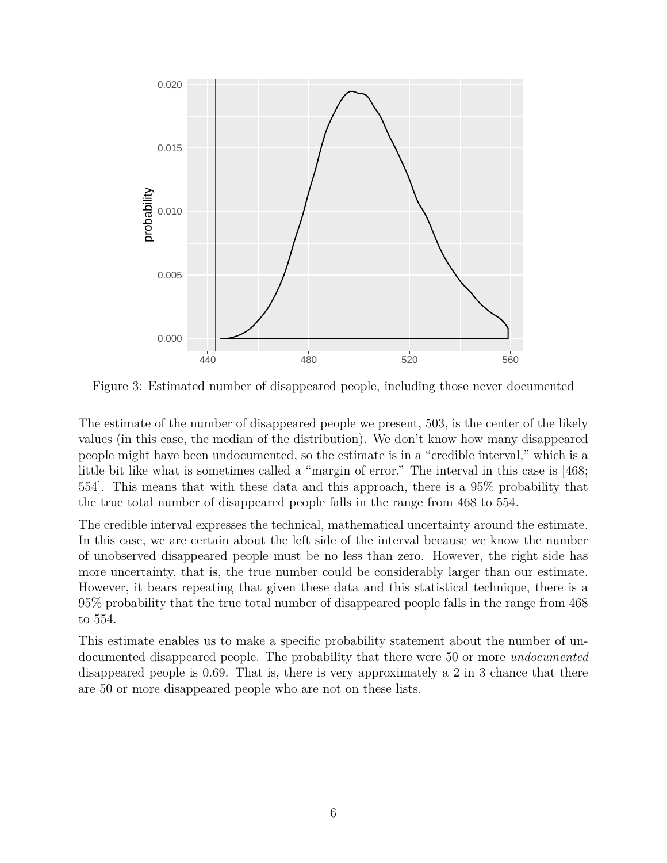

<span id="page-5-0"></span>Figure 3: Estimated number of disappeared people, including those never documented

The estimate of the number of disappeared people we present, 503, is the center of the likely values (in this case, the median of the distribution). We don't know how many disappeared people might have been undocumented, so the estimate is in a "credible interval," which is a little bit like what is sometimes called a "margin of error." The interval in this case is [468; 554]. This means that with these data and this approach, there is a 95% probability that the true total number of disappeared people falls in the range from 468 to 554.

The credible interval expresses the technical, mathematical uncertainty around the estimate. In this case, we are certain about the left side of the interval because we know the number of unobserved disappeared people must be no less than zero. However, the right side has more uncertainty, that is, the true number could be considerably larger than our estimate. However, it bears repeating that given these data and this statistical technique, there is a 95% probability that the true total number of disappeared people falls in the range from 468 to 554.

This estimate enables us to make a specific probability statement about the number of undocumented disappeared people. The probability that there were 50 or more *undocumented* disappeared people is 0.69. That is, there is very approximately a 2 in 3 chance that there are 50 or more disappeared people who are not on these lists.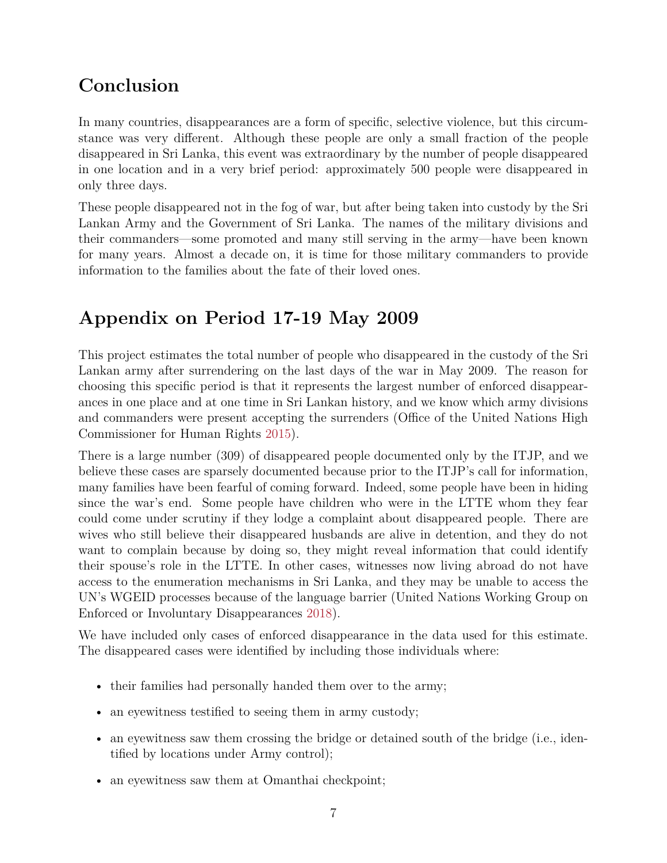## **Conclusion**

In many countries, disappearances are a form of specific, selective violence, but this circumstance was very different. Although these people are only a small fraction of the people disappeared in Sri Lanka, this event was extraordinary by the number of people disappeared in one location and in a very brief period: approximately 500 people were disappeared in only three days.

These people disappeared not in the fog of war, but after being taken into custody by the Sri Lankan Army and the Government of Sri Lanka. The names of the military divisions and their commanders—some promoted and many still serving in the army—have been known for many years. Almost a decade on, it is time for those military commanders to provide information to the families about the fate of their loved ones.

# **Appendix on Period 17-19 May 2009**

This project estimates the total number of people who disappeared in the custody of the Sri Lankan army after surrendering on the last days of the war in May 2009. The reason for choosing this specific period is that it represents the largest number of enforced disappearances in one place and at one time in Sri Lankan history, and we know which army divisions and commanders were present accepting the surrenders (Office of the United Nations High Commissioner for Human Rights [2015\)](#page-8-0).

There is a large number (309) of disappeared people documented only by the ITJP, and we believe these cases are sparsely documented because prior to the ITJP's call for information, many families have been fearful of coming forward. Indeed, some people have been in hiding since the war's end. Some people have children who were in the LTTE whom they fear could come under scrutiny if they lodge a complaint about disappeared people. There are wives who still believe their disappeared husbands are alive in detention, and they do not want to complain because by doing so, they might reveal information that could identify their spouse's role in the LTTE. In other cases, witnesses now living abroad do not have access to the enumeration mechanisms in Sri Lanka, and they may be unable to access the UN's WGEID processes because of the language barrier (United Nations Working Group on Enforced or Involuntary Disappearances [2018\)](#page-8-1).

We have included only cases of enforced disappearance in the data used for this estimate. The disappeared cases were identified by including those individuals where:

- their families had personally handed them over to the army;
- an eyewitness testified to seeing them in army custody;
- an eyewitness saw them crossing the bridge or detained south of the bridge (i.e., identified by locations under Army control);
- an eyewitness saw them at Omanthai checkpoint;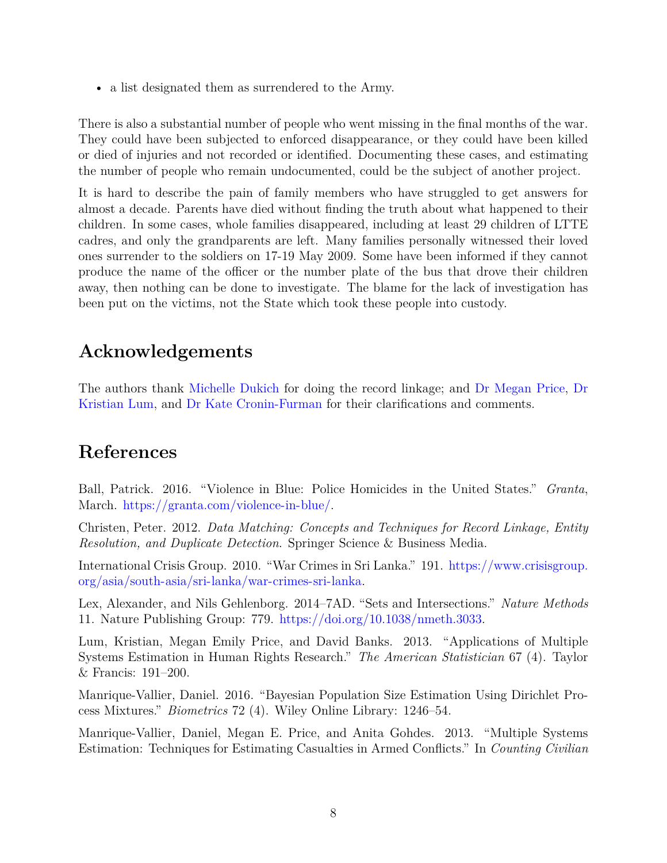• a list designated them as surrendered to the Army.

There is also a substantial number of people who went missing in the final months of the war. They could have been subjected to enforced disappearance, or they could have been killed or died of injuries and not recorded or identified. Documenting these cases, and estimating the number of people who remain undocumented, could be the subject of another project.

It is hard to describe the pain of family members who have struggled to get answers for almost a decade. Parents have died without finding the truth about what happened to their children. In some cases, whole families disappeared, including at least 29 children of LTTE cadres, and only the grandparents are left. Many families personally witnessed their loved ones surrender to the soldiers on 17-19 May 2009. Some have been informed if they cannot produce the name of the officer or the number plate of the bus that drove their children away, then nothing can be done to investigate. The blame for the lack of investigation has been put on the victims, not the State which took these people into custody.

## **Acknowledgements**

The authors thank [Michelle Dukich](https://hrdag.org/people/michelle-dukich/) for doing the record linkage; and [Dr Megan Price,](https://hrdag.org/people/megan-price-phd/) [Dr](https://hrdag.org/people/kristian-lum-phd/) [Kristian Lum,](https://hrdag.org/people/kristian-lum-phd/) and [Dr Kate Cronin-Furman](http://www.katecroninfurman.com/) for their clarifications and comments.

#### **References**

<span id="page-7-1"></span>Ball, Patrick. 2016. "Violence in Blue: Police Homicides in the United States." *Granta*, March. [https://granta.com/violence-in-blue/.](https://granta.com/violence-in-blue/)

<span id="page-7-0"></span>Christen, Peter. 2012. *Data Matching: Concepts and Techniques for Record Linkage, Entity Resolution, and Duplicate Detection*. Springer Science & Business Media.

<span id="page-7-3"></span>International Crisis Group. 2010. "War Crimes in Sri Lanka." 191. [https://www.crisisgroup.](https://www.crisisgroup.org/asia/south-asia/sri-lanka/war-crimes-sri-lanka) [org/asia/south-asia/sri-lanka/war-crimes-sri-lanka.](https://www.crisisgroup.org/asia/south-asia/sri-lanka/war-crimes-sri-lanka)

<span id="page-7-4"></span>Lex, Alexander, and Nils Gehlenborg. 2014–7AD. "Sets and Intersections." *Nature Methods* 11. Nature Publishing Group: 779. [https://doi.org/10.1038/nmeth.3033.](https://doi.org/10.1038/nmeth.3033)

<span id="page-7-5"></span>Lum, Kristian, Megan Emily Price, and David Banks. 2013. "Applications of Multiple Systems Estimation in Human Rights Research." *The American Statistician* 67 (4). Taylor & Francis: 191–200.

<span id="page-7-6"></span>Manrique-Vallier, Daniel. 2016. "Bayesian Population Size Estimation Using Dirichlet Process Mixtures." *Biometrics* 72 (4). Wiley Online Library: 1246–54.

<span id="page-7-2"></span>Manrique-Vallier, Daniel, Megan E. Price, and Anita Gohdes. 2013. "Multiple Systems Estimation: Techniques for Estimating Casualties in Armed Conflicts." In *Counting Civilian*